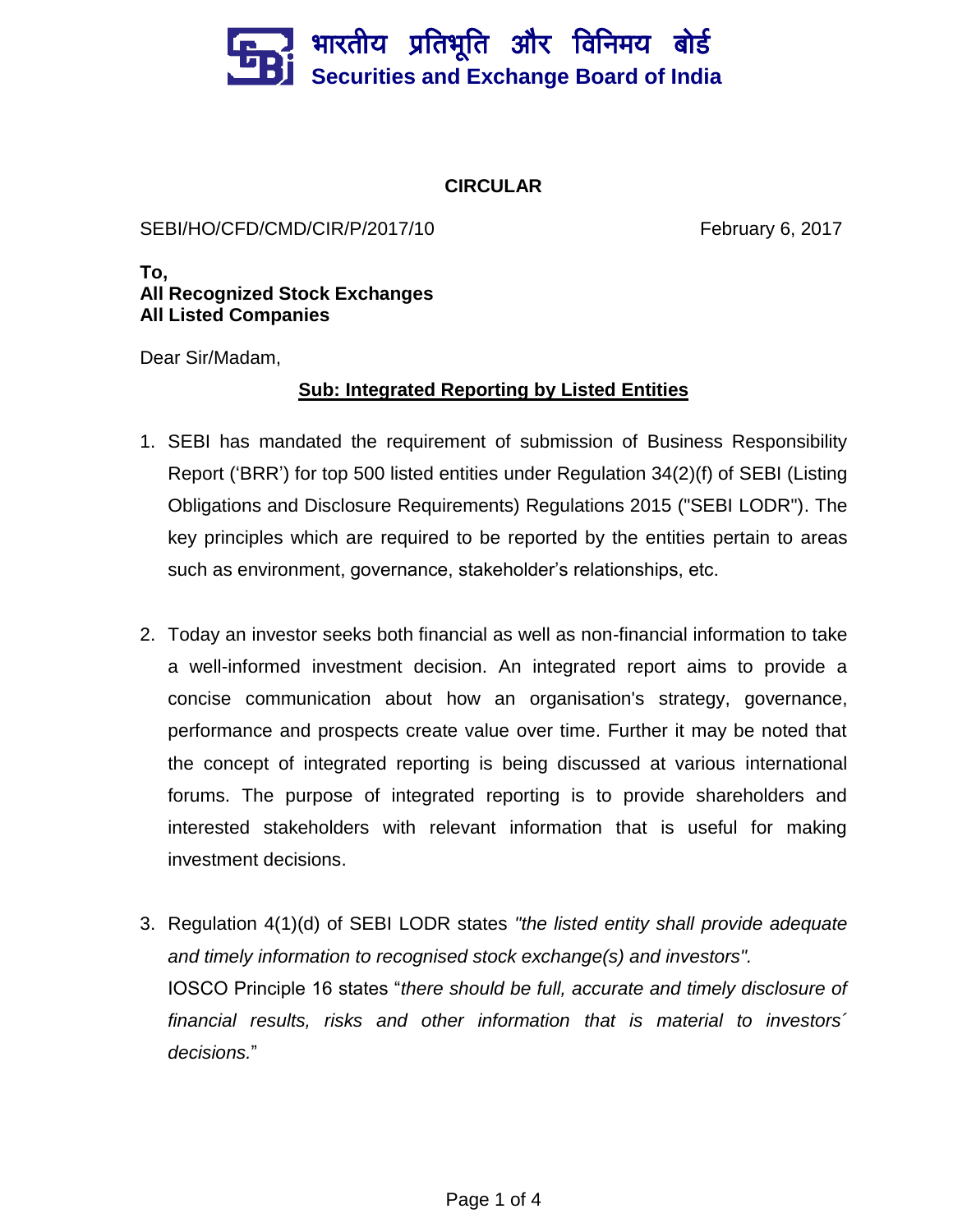## भारतीय प्रतिभूति और विनिमय बो**र्ड Securities and Exchange Board of India**

## **CIRCULAR**

## SEBI/HO/CFD/CMD/CIR/P/2017/10 February 6, 2017

**To, All Recognized Stock Exchanges All Listed Companies**

Dear Sir/Madam,

## **Sub: Integrated Reporting by Listed Entities**

- 1. SEBI has mandated the requirement of submission of Business Responsibility Report ('BRR') for top 500 listed entities under Regulation 34(2)(f) of SEBI (Listing Obligations and Disclosure Requirements) Regulations 2015 ("SEBI LODR"). The key principles which are required to be reported by the entities pertain to areas such as environment, governance, stakeholder's relationships, etc.
- 2. Today an investor seeks both financial as well as non-financial information to take a well-informed investment decision. An integrated report aims to provide a concise communication about how an organisation's strategy, governance, performance and prospects create value over time. Further it may be noted that the concept of integrated reporting is being discussed at various international forums. The purpose of integrated reporting is to provide shareholders and interested stakeholders with relevant information that is useful for making investment decisions.
- 3. Regulation 4(1)(d) of SEBI LODR states *"the listed entity shall provide adequate and timely information to recognised stock exchange(s) and investors".* IOSCO Principle 16 states "*there should be full, accurate and timely disclosure of financial results, risks and other information that is material to investors´ decisions.*"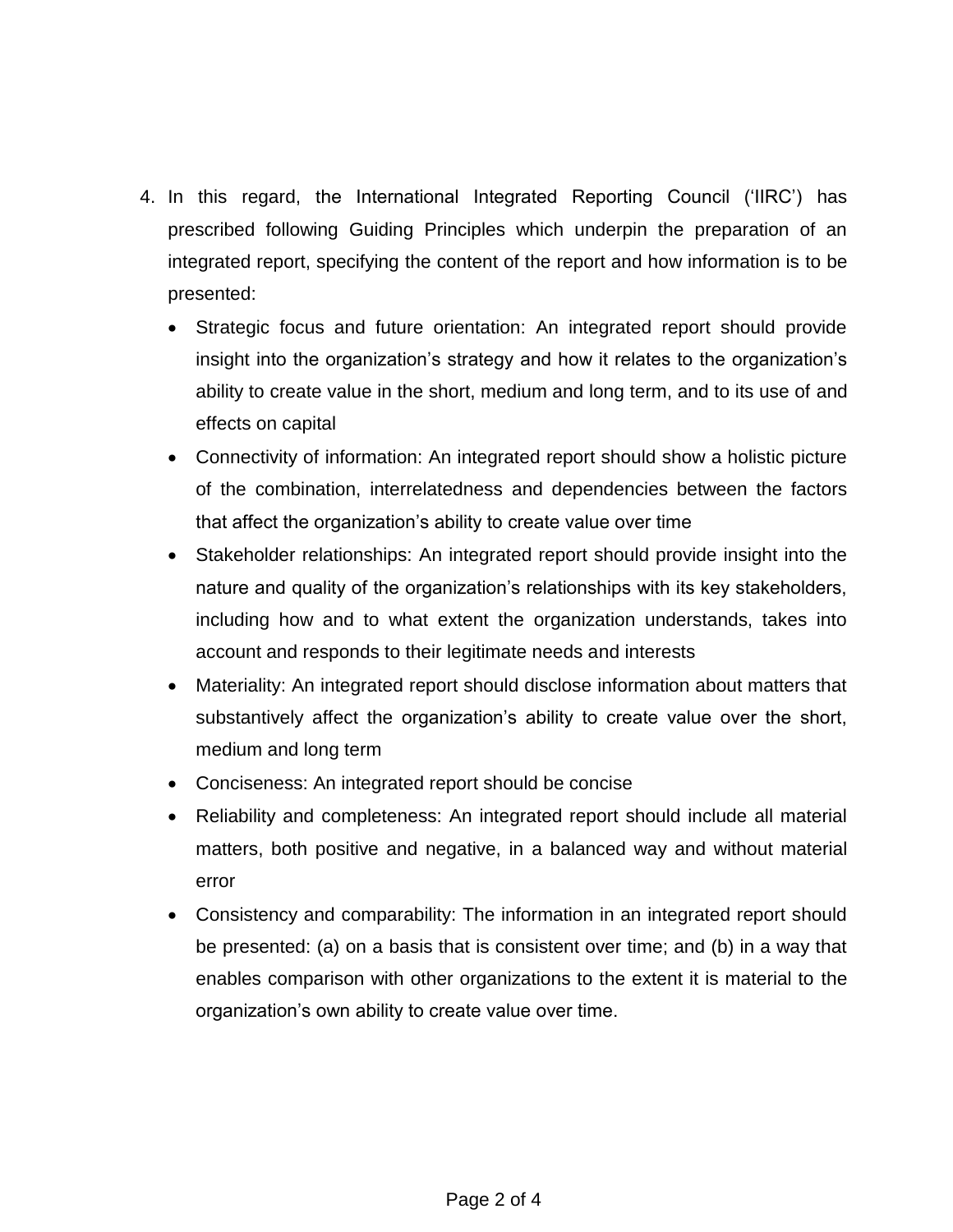- 4. In this regard, the International Integrated Reporting Council ('IIRC') has prescribed following Guiding Principles which underpin the preparation of an integrated report, specifying the content of the report and how information is to be presented:
	- Strategic focus and future orientation: An integrated report should provide insight into the organization's strategy and how it relates to the organization's ability to create value in the short, medium and long term, and to its use of and effects on capital
	- Connectivity of information: An integrated report should show a holistic picture of the combination, interrelatedness and dependencies between the factors that affect the organization's ability to create value over time
	- Stakeholder relationships: An integrated report should provide insight into the nature and quality of the organization's relationships with its key stakeholders, including how and to what extent the organization understands, takes into account and responds to their legitimate needs and interests
	- Materiality: An integrated report should disclose information about matters that substantively affect the organization's ability to create value over the short, medium and long term
	- Conciseness: An integrated report should be concise
	- Reliability and completeness: An integrated report should include all material matters, both positive and negative, in a balanced way and without material error
	- Consistency and comparability: The information in an integrated report should be presented: (a) on a basis that is consistent over time; and (b) in a way that enables comparison with other organizations to the extent it is material to the organization's own ability to create value over time.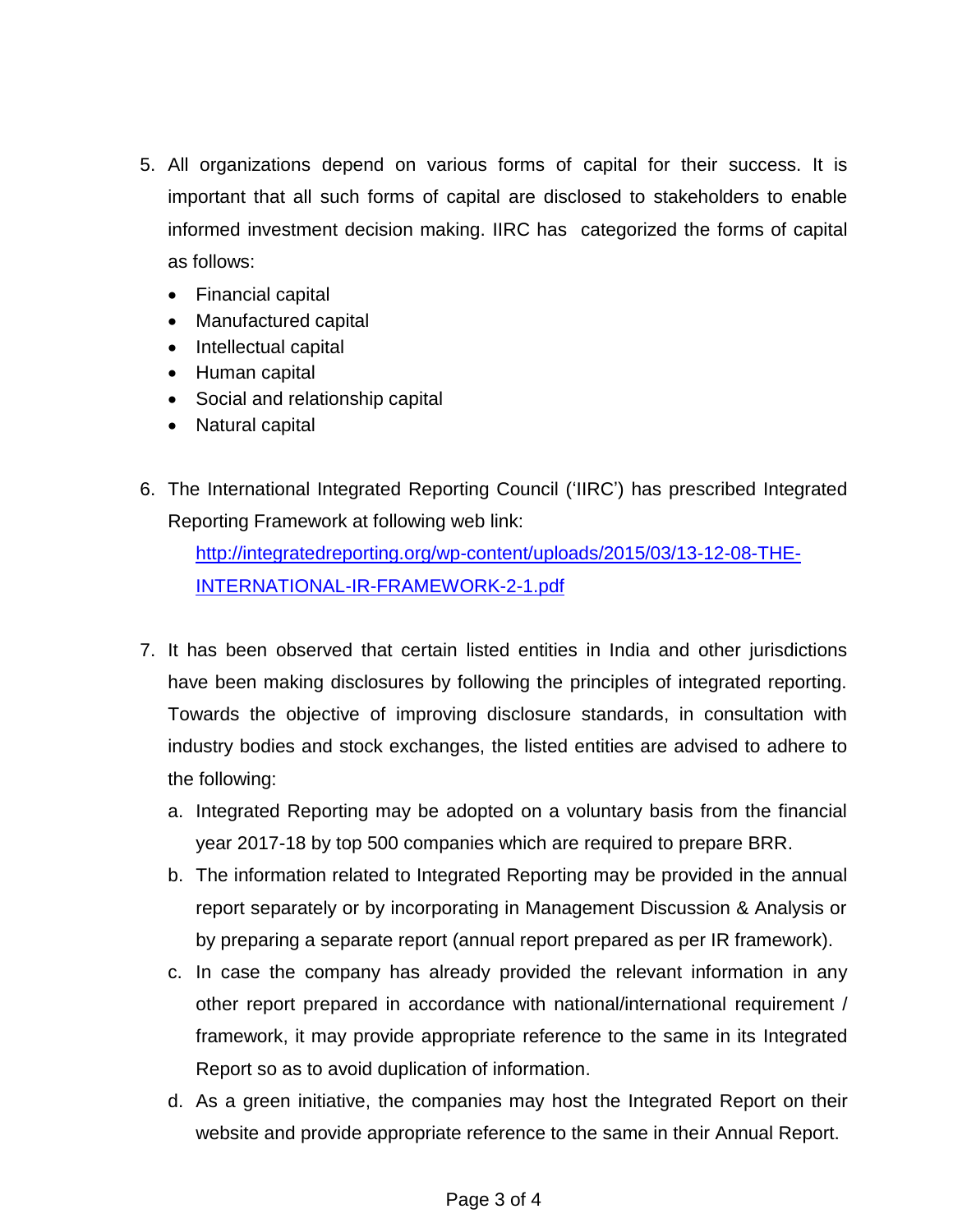- 5. All organizations depend on various forms of capital for their success. It is important that all such forms of capital are disclosed to stakeholders to enable informed investment decision making. IIRC has categorized the forms of capital as follows:
	- Financial capital
	- Manufactured capital
	- Intellectual capital
	- Human capital
	- Social and relationship capital
	- Natural capital
- 6. The International Integrated Reporting Council ('IIRC') has prescribed Integrated Reporting Framework at following web link:

[http://integratedreporting.org/wp-content/uploads/2015/03/13-12-08-THE-](http://integratedreporting.org/wp-content/uploads/2015/03/13-12-08-THE-INTERNATIONAL-IR-FRAMEWORK-2-1.pdf)[INTERNATIONAL-IR-FRAMEWORK-2-1.pdf](http://integratedreporting.org/wp-content/uploads/2015/03/13-12-08-THE-INTERNATIONAL-IR-FRAMEWORK-2-1.pdf)

- 7. It has been observed that certain listed entities in India and other jurisdictions have been making disclosures by following the principles of integrated reporting. Towards the objective of improving disclosure standards, in consultation with industry bodies and stock exchanges, the listed entities are advised to adhere to the following:
	- a. Integrated Reporting may be adopted on a voluntary basis from the financial year 2017-18 by top 500 companies which are required to prepare BRR.
	- b. The information related to Integrated Reporting may be provided in the annual report separately or by incorporating in Management Discussion & Analysis or by preparing a separate report (annual report prepared as per IR framework).
	- c. In case the company has already provided the relevant information in any other report prepared in accordance with national/international requirement / framework, it may provide appropriate reference to the same in its Integrated Report so as to avoid duplication of information.
	- d. As a green initiative, the companies may host the Integrated Report on their website and provide appropriate reference to the same in their Annual Report.